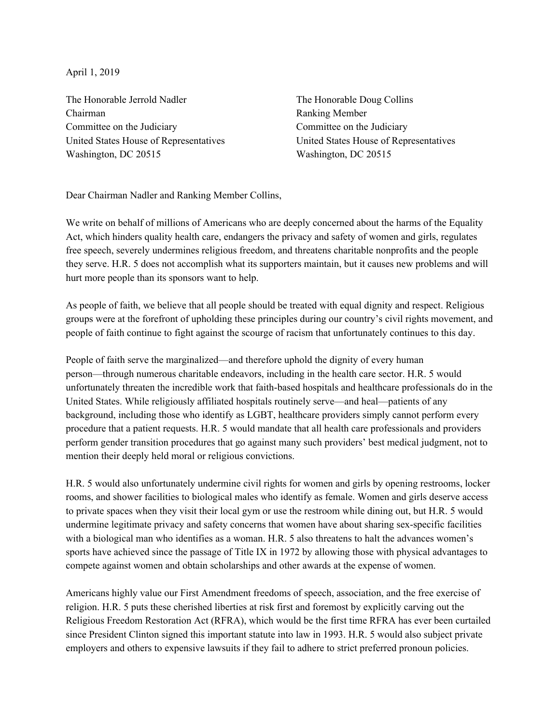April 1, 2019

The Honorable Jerrold Nadler Chairman Committee on the Judiciary United States House of Representatives Washington, DC 20515

The Honorable Doug Collins Ranking Member Committee on the Judiciary United States House of Representatives Washington, DC 20515

Dear Chairman Nadler and Ranking Member Collins,

We write on behalf of millions of Americans who are deeply concerned about the harms of the Equality Act, which hinders quality health care, endangers the privacy and safety of women and girls, regulates free speech, severely undermines religious freedom, and threatens charitable nonprofits and the people they serve. H.R. 5 does not accomplish what its supporters maintain, but it causes new problems and will hurt more people than its sponsors want to help.

As people of faith, we believe that all people should be treated with equal dignity and respect. Religious groups were at the forefront of upholding these principles during our country's civil rights movement, and people of faith continue to fight against the scourge of racism that unfortunately continues to this day.

People of faith serve the marginalized—and therefore uphold the dignity of every human person—through numerous charitable endeavors, including in the health care sector. H.R. 5 would unfortunately threaten the incredible work that faith-based hospitals and healthcare professionals do in the United States. While religiously affiliated hospitals routinely serve—and heal—patients of any background, including those who identify as LGBT, healthcare providers simply cannot perform every procedure that a patient requests. H.R. 5 would mandate that all health care professionals and providers perform gender transition procedures that go against many such providers' best medical judgment, not to mention their deeply held moral or religious convictions.

H.R. 5 would also unfortunately undermine civil rights for women and girls by opening restrooms, locker rooms, and shower facilities to biological males who identify as female. Women and girls deserve access to private spaces when they visit their local gym or use the restroom while dining out, but H.R. 5 would undermine legitimate privacy and safety concerns that women have about sharing sex-specific facilities with a biological man who identifies as a woman. H.R. 5 also threatens to halt the advances women's sports have achieved since the passage of Title IX in 1972 by allowing those with physical advantages to compete against women and obtain scholarships and other awards at the expense of women.

Americans highly value our First Amendment freedoms of speech, association, and the free exercise of religion. H.R. 5 puts these cherished liberties at risk first and foremost by explicitly carving out the Religious Freedom Restoration Act (RFRA), which would be the first time RFRA has ever been curtailed since President Clinton signed this important statute into law in 1993. H.R. 5 would also subject private employers and others to expensive lawsuits if they fail to adhere to strict preferred pronoun policies.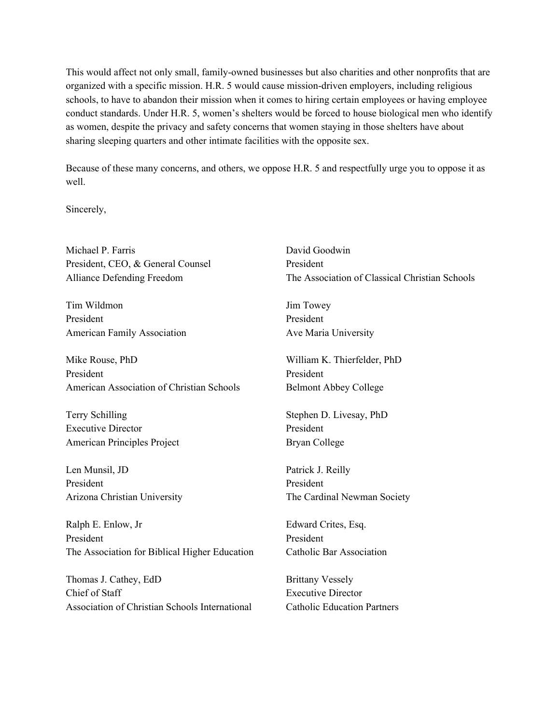This would affect not only small, family-owned businesses but also charities and other nonprofits that are organized with a specific mission. H.R. 5 would cause mission-driven employers, including religious schools, to have to abandon their mission when it comes to hiring certain employees or having employee conduct standards. Under H.R. 5, women's shelters would be forced to house biological men who identify as women, despite the privacy and safety concerns that women staying in those shelters have about sharing sleeping quarters and other intimate facilities with the opposite sex.

Because of these many concerns, and others, we oppose H.R. 5 and respectfully urge you to oppose it as well.

Sincerely,

| Michael P. Farris<br>President, CEO, & General Counsel | David Goodwin<br>President                     |
|--------------------------------------------------------|------------------------------------------------|
| <b>Alliance Defending Freedom</b>                      | The Association of Classical Christian Schools |
| Tim Wildmon                                            | Jim Towey                                      |
| President                                              | President                                      |
| <b>American Family Association</b>                     | Ave Maria University                           |
| Mike Rouse, PhD                                        | William K. Thierfelder, PhD                    |
| President                                              | President                                      |
| American Association of Christian Schools              | <b>Belmont Abbey College</b>                   |
| Terry Schilling                                        | Stephen D. Livesay, PhD                        |
| <b>Executive Director</b>                              | President                                      |
| American Principles Project                            | <b>Bryan College</b>                           |
| Len Munsil, JD                                         | Patrick J. Reilly                              |
| President                                              | President                                      |
| Arizona Christian University                           | The Cardinal Newman Society                    |
| Ralph E. Enlow, Jr                                     | Edward Crites, Esq.                            |
| President                                              | President                                      |
| The Association for Biblical Higher Education          | <b>Catholic Bar Association</b>                |
| Thomas J. Cathey, EdD                                  | <b>Brittany Vessely</b>                        |
| Chief of Staff                                         | <b>Executive Director</b>                      |
| Association of Christian Schools International         | <b>Catholic Education Partners</b>             |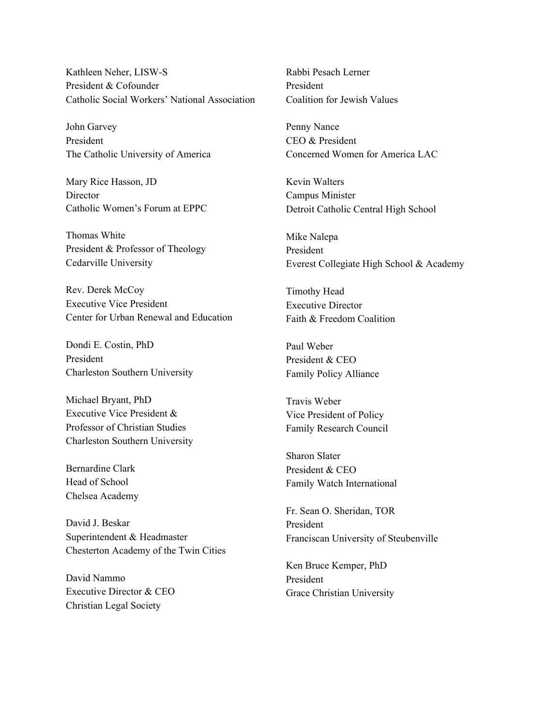Kathleen Neher, LISW-S President & Cofounder Catholic Social Workers' National Association

John Garvey President The Catholic University of America

Mary Rice Hasson, JD **Director** Catholic Women's Forum at EPPC

Thomas White President & Professor of Theology Cedarville University

Rev. Derek McCoy Executive Vice President Center for Urban Renewal and Education

Dondi E. Costin, PhD President Charleston Southern University

Michael Bryant, PhD Executive Vice President & Professor of Christian Studies Charleston Southern University

Bernardine Clark Head of School Chelsea Academy

David J. Beskar Superintendent & Headmaster Chesterton Academy of the Twin Cities

David Nammo Executive Director & CEO Christian Legal Society

Rabbi Pesach Lerner President Coalition for Jewish Values

Penny Nance CEO & President Concerned Women for America LAC

Kevin Walters Campus Minister Detroit Catholic Central High School

Mike Nalepa President Everest Collegiate High School & Academy

Timothy Head Executive Director Faith & Freedom Coalition

Paul Weber President & CEO Family Policy Alliance

Travis Weber Vice President of Policy Family Research Council

Sharon Slater President & CEO Family Watch International

Fr. Sean O. Sheridan, TOR President Franciscan University of Steubenville

Ken Bruce Kemper, PhD President Grace Christian University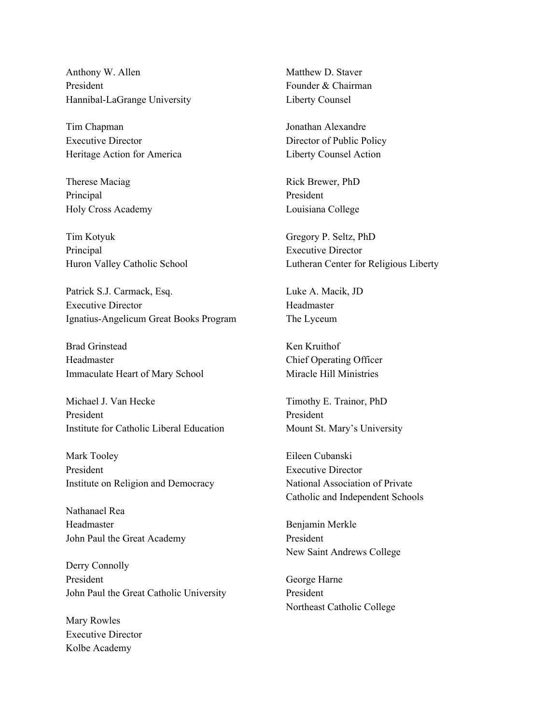Anthony W. Allen President Hannibal-LaGrange University

Tim Chapman Executive Director Heritage Action for America

Therese Maciag Principal Holy Cross Academy

Tim Kotyuk Principal Huron Valley Catholic School

Patrick S.J. Carmack, Esq. Executive Director Ignatius-Angelicum Great Books Program

Brad Grinstead Headmaster Immaculate Heart of Mary School

Michael J. Van Hecke President Institute for Catholic Liberal Education

Mark Tooley President Institute on Religion and Democracy

Nathanael Rea Headmaster John Paul the Great Academy

Derry Connolly President John Paul the Great Catholic University

Mary Rowles Executive Director Kolbe Academy

Matthew D. Staver Founder & Chairman Liberty Counsel

Jonathan Alexandre Director of Public Policy Liberty Counsel Action

Rick Brewer, PhD President Louisiana College

Gregory P. Seltz, PhD Executive Director Lutheran Center for Religious Liberty

Luke A. Macik, JD Headmaster The Lyceum

Ken Kruithof Chief Operating Officer Miracle Hill Ministries

Timothy E. Trainor, PhD President Mount St. Mary's University

Eileen Cubanski Executive Director National Association of Private Catholic and Independent Schools

Benjamin Merkle President New Saint Andrews College

George Harne President Northeast Catholic College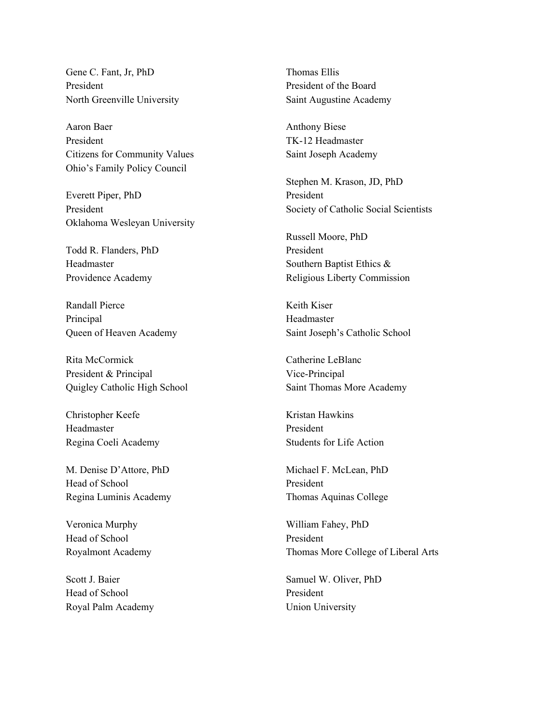Gene C. Fant, Jr, PhD President North Greenville University

Aaron Baer President Citizens for Community Values Ohio's Family Policy Council

Everett Piper, PhD President Oklahoma Wesleyan University

Todd R. Flanders, PhD Headmaster Providence Academy

Randall Pierce Principal Queen of Heaven Academy

Rita McCormick President & Principal Quigley Catholic High School

Christopher Keefe Headmaster Regina Coeli Academy

M. Denise D'Attore, PhD Head of School Regina Luminis Academy

Veronica Murphy Head of School Royalmont Academy

Scott J. Baier Head of School Royal Palm Academy Thomas Ellis President of the Board Saint Augustine Academy

Anthony Biese TK-12 Headmaster Saint Joseph Academy

Stephen M. Krason, JD, PhD President Society of Catholic Social Scientists

Russell Moore, PhD President Southern Baptist Ethics & Religious Liberty Commission

Keith Kiser Headmaster Saint Joseph's Catholic School

Catherine LeBlanc Vice-Principal Saint Thomas More Academy

Kristan Hawkins President Students for Life Action

Michael F. McLean, PhD President Thomas Aquinas College

William Fahey, PhD President Thomas More College of Liberal Arts

Samuel W. Oliver, PhD President Union University